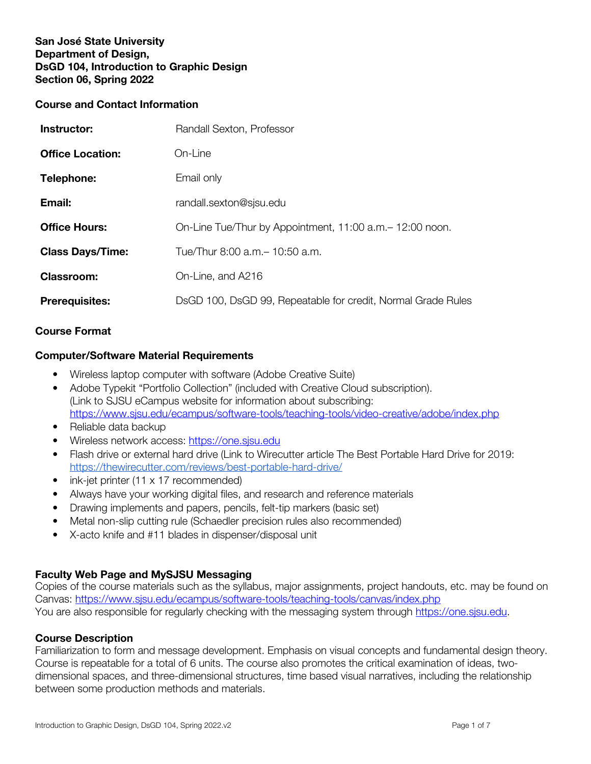# San José State University Department of Design, DsGD 104, Introduction to Graphic Design Section 06, Spring 2022

### **Course and Contact Information**

| Instructor:             | Randall Sexton, Professor                                    |
|-------------------------|--------------------------------------------------------------|
| <b>Office Location:</b> | On-Line                                                      |
| Telephone:              | Email only                                                   |
| Email:                  | randall.sexton@sjsu.edu                                      |
| <b>Office Hours:</b>    | On-Line Tue/Thur by Appointment, 11:00 a.m. - 12:00 noon.    |
| <b>Class Days/Time:</b> | Tue/Thur 8:00 a.m. - 10:50 a.m.                              |
| <b>Classroom:</b>       | On-Line, and A216                                            |
| <b>Prerequisites:</b>   | DsGD 100, DsGD 99, Repeatable for credit, Normal Grade Rules |

### **Course Format**

### **Computer/Software Material Requirements**

- Wireless laptop computer with software (Adobe Creative Suite)
- Adobe Typekit "Portfolio Collection" (included with Creative Cloud subscription). (Link to SJSU eCampus website for information about subscribing: https://www.sjsu.edu/ecampus/software-tools/teaching-tools/video-creative/adobe/index.php
- Reliable data backup
- Wireless network access: https://one.sjsu.edu
- Flash drive or external hard drive (Link to Wirecutter article The Best Portable Hard Drive for 2019: https://thewirecutter.com/reviews/best-portable-hard-drive/
- ink-jet printer  $(11 \times 17 \text{ recommended})$
- Always have your working digital files, and research and reference materials
- Drawing implements and papers, pencils, felt-tip markers (basic set)
- Metal non-slip cutting rule (Schaedler precision rules also recommended)
- X-acto knife and #11 blades in dispenser/disposal unit

# **Faculty Web Page and MySJSU Messaging**

Copies of the course materials such as the syllabus, major assignments, project handouts, etc. may be found on Canvas: https://www.sjsu.edu/ecampus/software-tools/teaching-tools/canvas/index.php You are also responsible for regularly checking with the messaging system through https://one.sjsu.edu.

#### **Course Description**

Familiarization to form and message development. Emphasis on visual concepts and fundamental design theory. Course is repeatable for a total of 6 units. The course also promotes the critical examination of ideas, twodimensional spaces, and three-dimensional structures, time based visual narratives, including the relationship between some production methods and materials.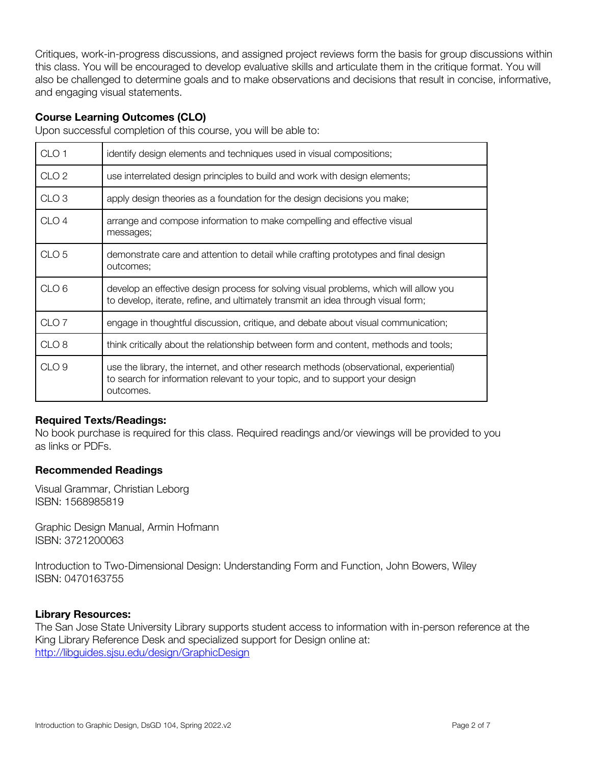Critiques, work-in-progress discussions, and assigned project reviews form the basis for group discussions within this class. You will be encouraged to develop evaluative skills and articulate them in the critique format. You will also be challenged to determine goals and to make observations and decisions that result in concise, informative, and engaging visual statements.

# **Course Learning Outcomes (CLO)**

Upon successful completion of this course, you will be able to:

| CLO <sub>1</sub> | identify design elements and techniques used in visual compositions;                                                                                                                 |
|------------------|--------------------------------------------------------------------------------------------------------------------------------------------------------------------------------------|
| CLO <sub>2</sub> | use interrelated design principles to build and work with design elements;                                                                                                           |
| CLO <sub>3</sub> | apply design theories as a foundation for the design decisions you make;                                                                                                             |
| CLO <sub>4</sub> | arrange and compose information to make compelling and effective visual<br>messages;                                                                                                 |
| CLO <sub>5</sub> | demonstrate care and attention to detail while crafting prototypes and final design<br>outcomes;                                                                                     |
| CLO <sub>6</sub> | develop an effective design process for solving visual problems, which will allow you<br>to develop, iterate, refine, and ultimately transmit an idea through visual form;           |
| CLO <sub>7</sub> | engage in thoughtful discussion, critique, and debate about visual communication;                                                                                                    |
| CLO <sub>8</sub> | think critically about the relationship between form and content, methods and tools;                                                                                                 |
| CLO <sub>9</sub> | use the library, the internet, and other research methods (observational, experiential)<br>to search for information relevant to your topic, and to support your design<br>outcomes. |

# **Required Texts/Readings:**

No book purchase is required for this class. Required readings and/or viewings will be provided to you as links or PDFs.

#### **Recommended Readings**

Visual Grammar, Christian Leborg ISBN: 1568985819

Graphic Design Manual, Armin Hofmann ISBN: 3721200063

Introduction to Two-Dimensional Design: Understanding Form and Function, John Bowers, Wiley ISBN: 0470163755

#### Library Resources:

The San Jose State University Library supports student access to information with in-person reference at the King Library Reference Desk and specialized support for Design online at: http://libguides.sjsu.edu/design/GraphicDesign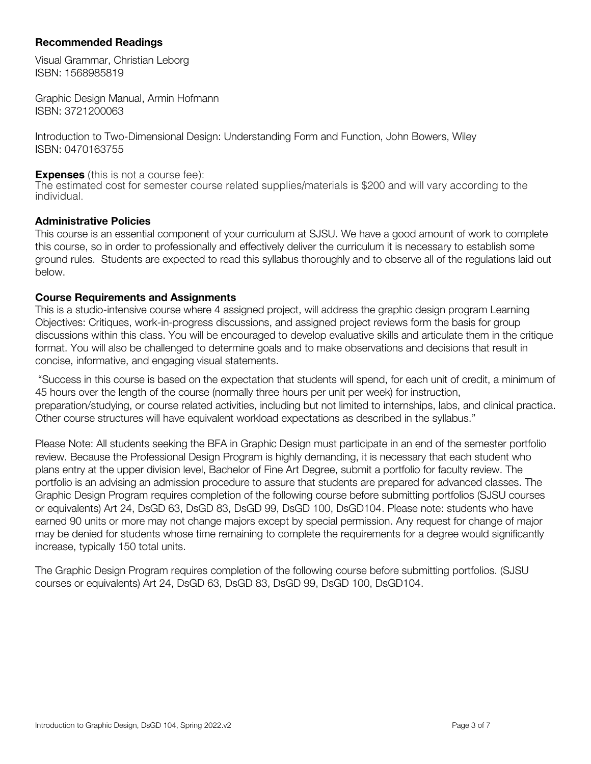# **Recommended Readings**

Visual Grammar, Christian Leborg ISBN: 1568985819

Graphic Design Manual, Armin Hofmann ISBN: 3721200063

Introduction to Two-Dimensional Design: Understanding Form and Function, John Bowers, Wiley ISBN: 0470163755

#### **Expenses** (this is not a course fee):

The estimated cost for semester course related supplies/materials is \$200 and will vary according to the individual.

#### Administrative Policies

This course is an essential component of your curriculum at SJSU. We have a good amount of work to complete this course, so in order to professionally and effectively deliver the curriculum it is necessary to establish some ground rules. Students are expected to read this syllabus thoroughly and to observe all of the regulations laid out below.

#### **Course Requirements and Assignments**

This is a studio-intensive course where 4 assigned project, will address the graphic design program Learning Objectives: Critiques, work-in-progress discussions, and assigned project reviews form the basis for group discussions within this class. You will be encouraged to develop evaluative skills and articulate them in the critique format. You will also be challenged to determine goals and to make observations and decisions that result in concise, informative, and engaging visual statements.

"Success in this course is based on the expectation that students will spend, for each unit of credit, a minimum of 45 hours over the length of the course (normally three hours per unit per week) for instruction, preparation/studying, or course related activities, including but not limited to internships, labs, and clinical practica. Other course structures will have equivalent workload expectations as described in the syllabus."

Please Note: All students seeking the BFA in Graphic Design must participate in an end of the semester portfolio review. Because the Professional Design Program is highly demanding, it is necessary that each student who plans entry at the upper division level, Bachelor of Fine Art Degree, submit a portfolio for faculty review. The portfolio is an advising an admission procedure to assure that students are prepared for advanced classes. The Graphic Design Program requires completion of the following course before submitting portfolios (SJSU courses or equivalents) Art 24, DsGD 63, DsGD 83, DsGD 99, DsGD 100, DsGD104. Please note: students who have earned 90 units or more may not change majors except by special permission. Any request for change of major may be denied for students whose time remaining to complete the requirements for a degree would significantly increase, typically 150 total units.

The Graphic Design Program requires completion of the following course before submitting portfolios. (SJSU courses or equivalents) Art 24, DsGD 63, DsGD 83, DsGD 99, DsGD 100, DsGD104.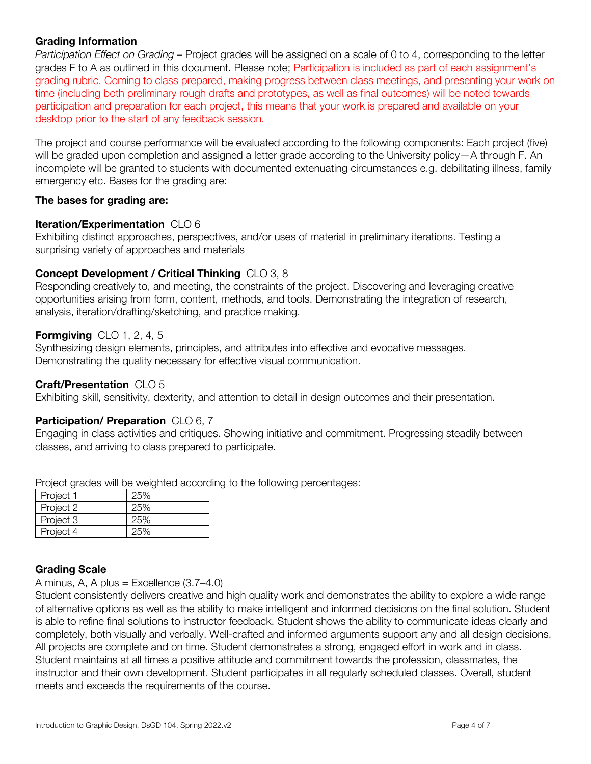# Grading Information

*Participation Effect on Grading* – Project grades will be assigned on a scale of 0 to 4, corresponding to the letter grades F to A as outlined in this document. Please note; Participation is included as part of each assignment's grading rubric. Coming to class prepared, making progress between class meetings, and presenting your work on time (including both preliminary rough drafts and prototypes, as well as final outcomes) will be noted towards participation and preparation for each project, this means that your work is prepared and available on your desktop prior to the start of any feedback session.

The project and course performance will be evaluated according to the following components: Each project (five) will be graded upon completion and assigned a letter grade according to the University policy—A through F. An incomplete will be granted to students with documented extenuating circumstances e.g. debilitating illness, family emergency etc. Bases for the grading are:

### **The bases for grading are:**

### **Iteration/Experimentation** CLO 6

Exhibiting distinct approaches, perspectives, and/or uses of material in preliminary iterations. Testing a surprising variety of approaches and materials

# **Concept Development / Critical Thinking** CLO 3, 8

Responding creatively to, and meeting, the constraints of the project. Discovering and leveraging creative opportunities arising from form, content, methods, and tools. Demonstrating the integration of research, analysis, iteration/drafting/sketching, and practice making.

# **Formgiving** CLO 1, 2, 4, 5

Synthesizing design elements, principles, and attributes into effective and evocative messages. Demonstrating the quality necessary for effective visual communication.

# **Craft/Presentation** CLO 5

Exhibiting skill, sensitivity, dexterity, and attention to detail in design outcomes and their presentation.

# **Participation/ Preparation** CLO 6, 7

Engaging in class activities and critiques. Showing initiative and commitment. Progressing steadily between classes, and arriving to class prepared to participate.

Project grades will be weighted according to the following percentages:

| Project 1 | 25% |
|-----------|-----|
| Project 2 | 25% |
| Project 3 | 25% |
| Project 4 | 25% |

# Grading Scale

A minus, A, A plus = Excellence  $(3.7-4.0)$ 

Student consistently delivers creative and high quality work and demonstrates the ability to explore a wide range of alternative options as well as the ability to make intelligent and informed decisions on the final solution. Student is able to refine final solutions to instructor feedback. Student shows the ability to communicate ideas clearly and completely, both visually and verbally. Well-crafted and informed arguments support any and all design decisions. All projects are complete and on time. Student demonstrates a strong, engaged effort in work and in class. Student maintains at all times a positive attitude and commitment towards the profession, classmates, the instructor and their own development. Student participates in all regularly scheduled classes. Overall, student meets and exceeds the requirements of the course.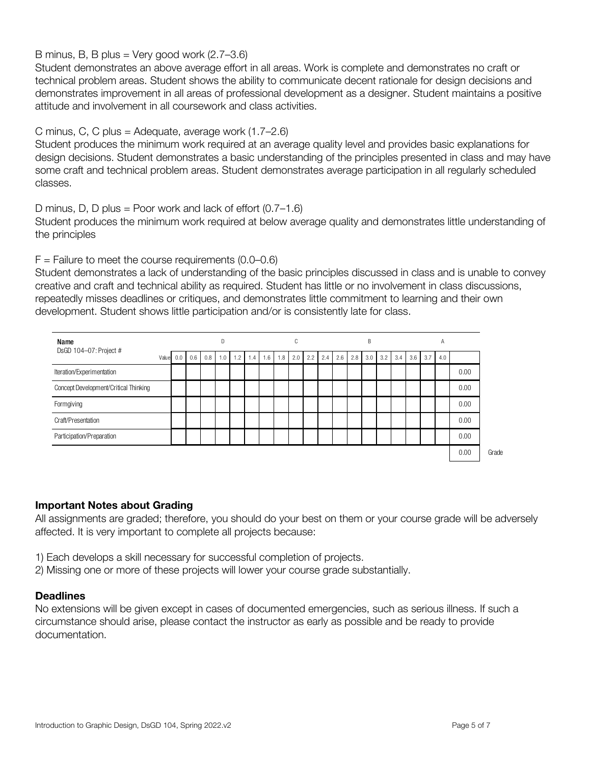# B minus, B, B plus = Very good work (2.7–3.6)

Student demonstrates an above average effort in all areas. Work is complete and demonstrates no craft or technical problem areas. Student shows the ability to communicate decent rationale for design decisions and demonstrates improvement in all areas of professional development as a designer. Student maintains a positive attitude and involvement in all coursework and class activities.

### C minus, C, C plus = Adequate, average work  $(1.7–2.6)$

Student produces the minimum work required at an average quality level and provides basic explanations for design decisions. Student demonstrates a basic understanding of the principles presented in class and may have some craft and technical problem areas. Student demonstrates average participation in all regularly scheduled classes.

### D minus, D, D plus = Poor work and lack of effort  $(0.7-1.6)$

Student produces the minimum work required at below average quality and demonstrates little understanding of the principles

### $F =$  Failure to meet the course requirements (0.0–0.6)

Student demonstrates a lack of understanding of the basic principles discussed in class and is unable to convey creative and craft and technical ability as required. Student has little or no involvement in class discussions, repeatedly misses deadlines or critiques, and demonstrates little commitment to learning and their own development. Student shows little participation and/or is consistently late for class.

| Name                                  |  | D         |     |     |     |     |     |     | C   |     |     |     |     | B   |     |     |     |     | A   |     |      |
|---------------------------------------|--|-----------|-----|-----|-----|-----|-----|-----|-----|-----|-----|-----|-----|-----|-----|-----|-----|-----|-----|-----|------|
| DsGD 104-07: Project #                |  | Value 0.0 | 0.6 | 0.8 | 1.0 | 1.2 | 1.4 | 1.6 | 1.8 | 2.0 | 2.2 | 2.4 | 2.6 | 2.8 | 3.0 | 3.2 | 3.4 | 3.6 | 3.7 | 4.0 |      |
| Iteration/Experimentation             |  |           |     |     |     |     |     |     |     |     |     |     |     |     |     |     |     |     |     |     | 0.00 |
| Concept Development/Critical Thinking |  |           |     |     |     |     |     |     |     |     |     |     |     |     |     |     |     |     |     |     | 0.00 |
| Formgiving                            |  |           |     |     |     |     |     |     |     |     |     |     |     |     |     |     |     |     |     |     | 0.00 |
| Craft/Presentation                    |  |           |     |     |     |     |     |     |     |     |     |     |     |     |     |     |     |     |     |     | 0.00 |
| Participation/Preparation             |  |           |     |     |     |     |     |     |     |     |     |     |     |     |     |     |     |     |     |     | 0.00 |
|                                       |  |           |     |     |     |     |     |     |     |     |     |     |     |     |     |     |     |     |     |     | 0.00 |

#### Important Notes about Grading

All assignments are graded; therefore, you should do your best on them or your course grade will be adversely affected. It is very important to complete all projects because:

- 1) Each develops a skill necessary for successful completion of projects.
- 2) Missing one or more of these projects will lower your course grade substantially.

#### **Deadlines**

No extensions will be given except in cases of documented emergencies, such as serious illness. If such a circumstance should arise, please contact the instructor as early as possible and be ready to provide documentation.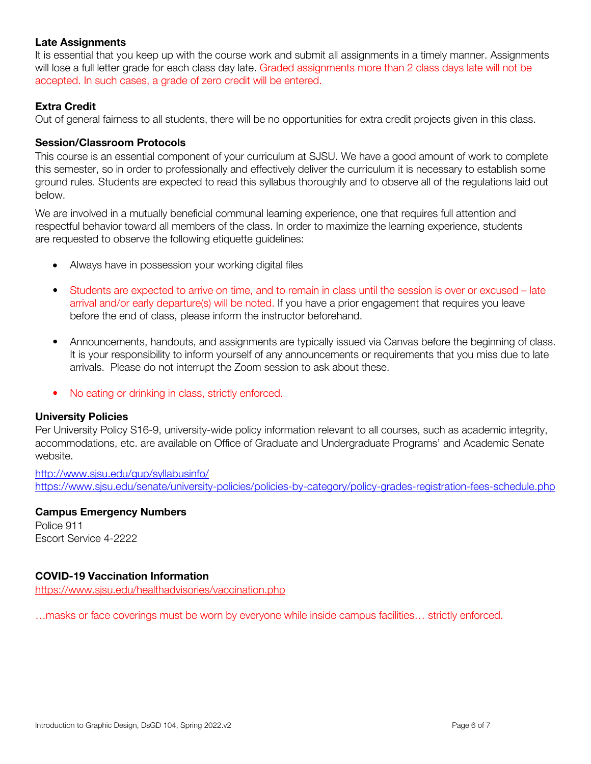# **Late Assignments**

It is essential that you keep up with the course work and submit all assignments in a timely manner. Assignments will lose a full letter grade for each class day late. Graded assignments more than 2 class days late will not be accepted. In such cases, a grade of zero credit will be entered.

# **Extra Credit**

Out of general fairness to all students, there will be no opportunities for extra credit projects given in this class.

### Session/Classroom Protocols

This course is an essential component of your curriculum at SJSU. We have a good amount of work to complete this semester, so in order to professionally and effectively deliver the curriculum it is necessary to establish some ground rules. Students are expected to read this syllabus thoroughly and to observe all of the regulations laid out below.

We are involved in a mutually beneficial communal learning experience, one that requires full attention and respectful behavior toward all members of the class. In order to maximize the learning experience, students are requested to observe the following etiquette guidelines:

- Always have in possession your working digital files
- Students are expected to arrive on time, and to remain in class until the session is over or excused late arrival and/or early departure(s) will be noted. If you have a prior engagement that requires you leave before the end of class, please inform the instructor beforehand.
- Announcements, handouts, and assignments are typically issued via Canvas before the beginning of class. It is your responsibility to inform yourself of any announcements or requirements that you miss due to late arrivals. Please do not interrupt the Zoom session to ask about these.
- No eating or drinking in class, strictly enforced.

# University Policies

Per University Policy S16-9, university-wide policy information relevant to all courses, such as academic integrity, accommodations, etc. are available on Office of Graduate and Undergraduate Programs' and Academic Senate website.

http://www.sjsu.edu/gup/syllabusinfo/ https://www.sjsu.edu/senate/university-policies/policies-by-category/policy-grades-registration-fees-schedule.php

#### Campus Emergency Numbers Police 911 Escort Service 4-2222

#### COVID-19 Vaccination Information

https://www.sjsu.edu/healthadvisories/vaccination.php

…masks or face coverings must be worn by everyone while inside campus facilities… strictly enforced.